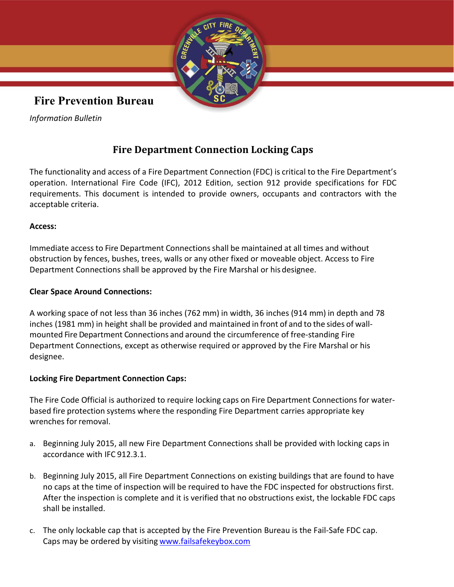

# **Fire Prevention Bureau**

*Information Bulletin*

## **Fire Department Connection Locking Caps**

The functionality and access of a Fire Department Connection (FDC) is critical to the Fire Department's operation. International Fire Code (IFC), 2012 Edition, section 912 provide specifications for FDC requirements. This document is intended to provide owners, occupants and contractors with the acceptable criteria.

#### **Access:**

Immediate accessto Fire Department Connectionsshall be maintained at all times and without obstruction by fences, bushes, trees, walls or any other fixed or moveable object. Access to Fire Department Connections shall be approved by the Fire Marshal or hisdesignee.

#### **Clear Space Around Connections:**

A working space of not less than 36 inches (762 mm) in width, 36 inches (914 mm) in depth and 78 inches (1981 mm) in height shall be provided and maintained in front of and to the sides of wallmounted Fire Department Connections and around the circumference of free-standing Fire Department Connections, except as otherwise required or approved by the Fire Marshal or his designee.

### **Locking Fire Department Connection Caps:**

The Fire Code Official is authorized to require locking caps on Fire Department Connections for waterbased fire protection systems where the responding Fire Department carries appropriate key wrenches for removal.

- a. Beginning July 2015, all new Fire Department Connections shall be provided with locking caps in accordance with IFC 912.3.1.
- b. Beginning July 2015, all Fire Department Connections on existing buildings that are found to have no caps at the time of inspection will be required to have the FDC inspected for obstructions first. After the inspection is complete and it is verified that no obstructions exist, the lockable FDC caps shall be installed.
- c. The only lockable cap that is accepted by the Fire Prevention Bureau is the Fail-Safe FDC cap. Caps may be ordered by visiting [www.failsafekeybox.com](http://www.failsafekeybox.com/)